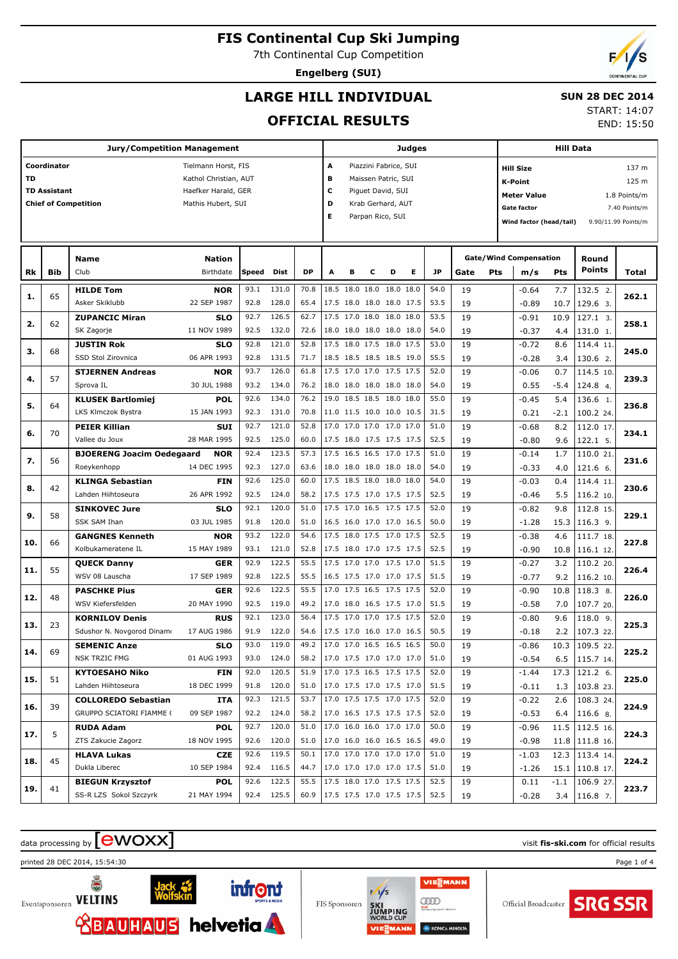7th Continental Cup Competition

**Engelberg (SUI)**

## **LARGE HILL INDIVIDUAL**

#### **SUN 28 DEC 2014** START: 14:07

**OFFICIAL RESULTS**

|           |                     | Jury/Competition Management                  |                           |              |                |                               |                          |                |                                                      |      | Judges |              |          | Hill Data |                                                |             |                        |               |  |
|-----------|---------------------|----------------------------------------------|---------------------------|--------------|----------------|-------------------------------|--------------------------|----------------|------------------------------------------------------|------|--------|--------------|----------|-----------|------------------------------------------------|-------------|------------------------|---------------|--|
|           | Coordinator         |                                              | Tielmann Horst, FIS       |              |                |                               | Α                        |                | Piazzini Fabrice, SUI                                |      |        |              |          |           | <b>Hill Size</b>                               |             |                        | 137 m         |  |
| <b>TD</b> |                     |                                              | Kathol Christian, AUT     |              |                |                               | в                        |                | Maissen Patric, SUI                                  |      |        |              |          |           | <b>K-Point</b>                                 |             |                        | 125 m         |  |
|           | <b>TD Assistant</b> |                                              | Haefker Harald, GER       |              |                |                               | c                        |                | Piguet David, SUI                                    |      |        |              |          |           | <b>Meter Value</b>                             |             |                        | 1.8 Points/m  |  |
|           |                     | <b>Chief of Competition</b>                  | Mathis Hubert, SUI        |              |                |                               | D                        |                | Krab Gerhard, AUT                                    |      |        |              |          |           | <b>Gate factor</b>                             |             |                        | 7.40 Points/m |  |
|           |                     |                                              |                           |              |                |                               | Е                        |                | Parpan Rico, SUI                                     |      |        |              |          |           | Wind factor (head/tail)<br>9.90/11.99 Points/m |             |                        |               |  |
|           |                     |                                              |                           |              |                |                               |                          |                |                                                      |      |        |              |          |           |                                                |             |                        |               |  |
|           |                     |                                              |                           |              |                |                               |                          |                |                                                      |      |        |              |          |           |                                                |             |                        |               |  |
|           |                     | <b>Name</b>                                  | <b>Nation</b>             |              |                |                               |                          |                |                                                      |      |        |              |          |           | <b>Gate/Wind Compensation</b>                  |             | Round                  |               |  |
| Rk        | Bib                 | Club                                         | Birthdate                 | Speed        | Dist           | <b>DP</b>                     | A                        | в              | с                                                    | D    | Е      | JP           | Gate     | Pts       | m/s                                            | Pts         | <b>Points</b>          | Total         |  |
| 1.        | 65                  | <b>HILDE Tom</b>                             | <b>NOR</b>                | 93.1         | 131.0          | 70.8                          |                          | 18.5 18.0 18.0 |                                                      | 18.0 | 18.0   | 54.0         | 19       |           | $-0.64$                                        | 7.7         | 132.5 2.               | 262.1         |  |
|           |                     | Asker Skiklubb                               | 22 SEP 1987               | 92.8         | 128.0          | 65.4                          |                          |                | 17.5 18.0 18.0 18.0 17.5                             |      |        | 53.5         | 19       |           | $-0.89$                                        | 10.7        | 129.6 3.               |               |  |
| 2.        | 62                  | <b>ZUPANCIC Miran</b>                        | <b>SLO</b>                | 92.7         | 126.5          | 62.7                          |                          |                | 17.5 17.0 18.0 18.0 18.0                             |      |        | 53.5         | 19       |           | $-0.91$                                        | 10.9        | 127.1 3.               | 258.1         |  |
|           |                     | SK Zagorje                                   | 11 NOV 1989               | 92.5         | 132.0          | 72.6                          |                          |                | 18.0 18.0 18.0 18.0 18.0                             |      |        | 54.0         | 19       |           | $-0.37$                                        | 4.4         | 131.0 1.               |               |  |
| з.        | 68                  | <b>JUSTIN Rok</b>                            | <b>SLO</b>                | 92.8         | 121.0          | 52.8                          |                          |                | 17.5 18.0 17.5 18.0 17.5                             |      |        | 53.0         | 19       |           | $-0.72$                                        | 8.6         | 114.4 11.              | 245.0         |  |
|           |                     | SSD Stol Zirovnica                           | 06 APR 1993               | 92.8         | 131.5          | 71.7                          |                          |                | 18.5 18.5 18.5 18.5 19.0                             |      |        | 55.5         | 19       |           | $-0.28$                                        | 3.4         | 130.6 2.               |               |  |
| 4.        | 57                  | <b>STJERNEN Andreas</b>                      | <b>NOR</b>                | 93.7         | 126.0          | 61.8                          |                          |                | 17.5 17.0 17.0 17.5 17.5                             |      |        | 52.0         | 19       |           | $-0.06$                                        | 0.7         | 114.5 10.              | 239.3         |  |
|           |                     | Sprova IL                                    | 30 JUL 1988               | 93.2         | 134.0          | 76.2                          |                          |                | 18.0 18.0 18.0 18.0 18.0                             |      |        | 54.0         | 19       |           | 0.55                                           | $-5.4$      | 124.8 4.               |               |  |
| 5.        | 64                  | <b>KLUSEK Bartlomiej</b>                     | <b>POL</b>                | 92.6         | 134.0          | 76.2                          |                          |                | 19.0 18.5 18.5 18.0 18.0                             |      |        | 55.0         | 19       |           | $-0.45$                                        | 5.4         | 136.6 1.               | 236.8         |  |
|           |                     | <b>LKS Klmczok Bystra</b>                    | 15 JAN 1993               | 92.3         | 131.0          | 70.8                          |                          |                | 11.0 11.5 10.0 10.0 10.5                             |      |        | 31.5         | 19       |           | 0.21                                           | $-2.1$      | 100.2 24.              |               |  |
| 6.        | 70                  | <b>PEIER Killian</b>                         | <b>SUI</b>                | 92.7         | 121.0          | 52.8                          |                          |                | 17.0 17.0 17.0 17.0 17.0                             |      |        | 51.0         | 19       |           | $-0.68$                                        | 8.2         | 112.0 17.              | 234.1         |  |
|           |                     | Vallee du Joux                               | 28 MAR 1995               | 92.5         | 125.0          | 60.0                          |                          |                | 17.5 18.0 17.5 17.5 17.5                             |      |        | 52.5         | 19       |           | $-0.80$                                        | 9.6         | 122.1 5.               |               |  |
| 7.        | 56                  | <b>BJOERENG Joacim Oedegaard</b>             | <b>NOR</b>                | 92.4         | 123.5          | 57.3                          |                          |                | 17.5 16.5 16.5 17.0 17.5                             |      |        | 51.0         | 19       |           | $-0.14$                                        | 1.7         | 110.0 21.              | 231.6         |  |
|           |                     | Roeykenhopp                                  | 14 DEC 1995               | 92.3         | 127.0          | 63.6                          |                          |                | 18.0 18.0 18.0 18.0 18.0                             |      |        | 54.0         | 19       |           | $-0.33$                                        | 4.0         | 121.6 6.               |               |  |
| 8.        | 42                  | <b>KLINGA Sebastian</b>                      | <b>FIN</b>                | 92.6         | 125.0          | 60.0                          |                          |                | 17.5 18.5 18.0 18.0 18.0                             |      |        | 54.0         | 19       |           | $-0.03$                                        | 0.4         | 114.4 11.              | 230.6         |  |
|           |                     | Lahden Hiihtoseura                           | 26 APR 1992               | 92.5         | 124.0          | 58.2                          |                          |                | 17.5 17.5 17.0 17.5 17.5                             |      |        | 52.5         | 19       |           | $-0.46$                                        | 5.5         | 116.2 10.              |               |  |
| 9.        | 58                  | <b>SINKOVEC Jure</b>                         | <b>SLO</b>                | 92.1         | 120.0          | 51.0                          |                          |                | 17.5 17.0 16.5 17.5 17.5                             |      |        | 52.0         | 19       |           | $-0.82$                                        | 9.8         | 112.8 15.              | 229.1         |  |
|           |                     | SSK SAM Ihan                                 | 03 JUL 1985               | 91.8<br>93.2 | 120.0<br>122.0 | 51.0<br>54.6                  |                          |                | 16.5 16.0 17.0 17.0 16.5<br>17.5 18.0 17.5 17.0 17.5 |      |        | 50.0         | 19       |           | $-1.28$                                        | 15.3        | 116.3 9.               |               |  |
| 10.       | 66                  | <b>GANGNES Kenneth</b><br>Kolbukameratene IL | <b>NOR</b><br>15 MAY 1989 | 93.1         | 121.0          | 52.8                          |                          |                | 17.5 18.0 17.0 17.5 17.5                             |      |        | 52.5<br>52.5 | 19       |           | $-0.38$                                        | 4.6         | 111.7 18.              | 227.8         |  |
|           |                     |                                              | <b>GER</b>                | 92.9         | 122.5          | 55.5                          |                          |                | 17.5 17.0 17.0 17.5 17.0                             |      |        | 51.5         | 19<br>19 |           | $-0.90$<br>$-0.27$                             | 10.8<br>3.2 | 116.1 12.              |               |  |
| 11.       | 55                  | <b>QUECK Danny</b><br>WSV 08 Lauscha         | 17 SEP 1989               | 92.8         | 122.5          | 55.5                          |                          |                | 16.5 17.5 17.0 17.0 17.5                             |      |        | 51.5         | 19       |           | $-0.77$                                        | 9.2         | 110.2 20.<br>116.2 10. | 226.4         |  |
|           |                     | <b>PASCHKE Pius</b>                          | <b>GER</b>                | 92.6         | 122.5          | 55.5                          |                          |                | 17.0 17.5 16.5 17.5 17.5                             |      |        | 52.0         | 19       |           | $-0.90$                                        | 10.8        | 118.3 8.               |               |  |
| 12.       | 48                  | WSV Kiefersfelden                            | 20 MAY 1990               | 92.5         | 119.0          | 49.2                          |                          |                | 17.0 18.0 16.5 17.5 17.0                             |      |        | 51.5         | 19       |           | $-0.58$                                        | 7.0         | 107.7 20.              | 226.0         |  |
|           |                     | <b>KORNILOV Denis</b>                        | <b>RUS</b>                | 92.1         | 123.0          | 56.4                          |                          |                | 17.5 17.0 17.0 17.5 17.5                             |      |        | 52.0         | 19       |           | $-0.80$                                        | 9.6         | $118.09$ .             |               |  |
| 13.       | 23                  | Sdushor N. Novgorod Dinamo                   | 17 AUG 1986               | 91.9         | 122.0          | 54.6                          |                          |                | 17.5 17.0 16.0 17.0 16.5                             |      |        | 50.5         | 19       |           | $-0.18$                                        | 2.2         | 107.3 22.              | 225.3         |  |
|           |                     | <b>SEMENIC Anze</b>                          | <b>SLO</b>                | 93.0         | 119.0          | 49.2                          |                          |                | 17.0 17.0 16.5 16.5 16.5                             |      |        | 50.0         | 19       |           | $-0.86$                                        | 10.3        | 109.5 22.              |               |  |
| 14.       | 69                  | NSK TRZIC FMG                                | 01 AUG 1993               | 93.0         | 124.0          | 58.2 17.0 17.5 17.0 17.0 17.0 |                          |                |                                                      |      |        | 51.0         | 19       |           | $-0.54$                                        | 6.5         | 115.7 14.              | 225.2         |  |
|           |                     | <b>KYTOESAHO Niko</b>                        | <b>FIN</b>                | 92.0         | 120.5          | 51.9                          | 17.0 17.5 16.5 17.5 17.5 |                |                                                      |      |        | 52.0         | 19       |           | $-1.44$                                        |             | $17.3$   121.2 6.      |               |  |
| 15.       | 51                  | Lahden Hiihtoseura                           | 18 DEC 1999               |              | 91.8 120.0     | 51.0                          | 17.0 17.5 17.0 17.5 17.0 |                |                                                      |      |        | 51.5         | 19       |           | $-0.11$                                        | 1.3         | 103.8 23.              | 225.0         |  |
|           |                     | <b>COLLOREDO Sebastian</b>                   | ITA                       |              | 92.3 121.5     | 53.7                          |                          |                | 17.0 17.5 17.5 17.0 17.5                             |      |        | 52.0         | 19       |           | $-0.22$                                        | 2.6         | 108.3 24.              |               |  |
| 16.       | 39                  | GRUPPO SCIATORI FIAMME (                     | 09 SEP 1987               |              | 92.2 124.0     | 58.2 17.0 16.5 17.5 17.5 17.5 |                          |                |                                                      |      |        | 52.0         | 19       |           | $-0.53$                                        | 6.4         | 116.6 8.               | 224.9         |  |
|           |                     | <b>RUDA Adam</b>                             | <b>POL</b>                |              | 92.7 120.0     | 51.0                          |                          |                | 17.0 16.0 16.0 17.0 17.0                             |      |        | 50.0         | 19       |           | $-0.96$                                        |             | 11.5   112.5 16.       |               |  |
| 17.       | 5                   | ZTS Zakucie Zagorz                           | 18 NOV 1995               |              | 92.6 120.0     | 51.0                          |                          |                | 17.0 16.0 16.0 16.5 16.5                             |      |        | 49.0         | 19       |           | $-0.98$                                        |             | $11.8$   111.8 16.     | 224.3         |  |
|           |                     | <b>HLAVA Lukas</b>                           | CZE                       | 92.6         | 119.5          | 50.1                          |                          |                | 17.0 17.0 17.0 17.0 17.0                             |      |        | 51.0         | 19       |           | $-1.03$                                        |             | 12.3   113.4 14.       |               |  |
| 18.       | 45                  | Dukla Liberec                                | 10 SEP 1984               |              | 92.4 116.5     | 44.7                          |                          |                | 17.0 17.0 17.0 17.0 17.5                             |      |        | 51.0         | 19       |           | $-1.26$                                        |             | 15.1   110.8 17.       | 224.2         |  |
|           |                     | <b>BIEGUN Krzysztof</b>                      | <b>POL</b>                | 92.6         | 122.5          | 55.5                          |                          |                | 17.5 18.0 17.0 17.5 17.5                             |      |        | 52.5         | 19       |           | 0.11                                           | $-1.1$      | 106.9 27.              |               |  |
| 19.       | 41                  | SS-R LZS Sokol Szczyrk                       | 21 MAY 1994               |              | 92.4 125.5     | 60.9                          | 17.5 17.5 17.0 17.5 17.5 |                |                                                      |      |        | 52.5         | 19       |           | $-0.28$                                        | 3.4         | 116.8 7.               | 223.7         |  |

## data processing by **CWOXX** and  $\overline{C}$  and  $\overline{C}$  and  $\overline{C}$  and  $\overline{C}$  and  $\overline{C}$  and  $\overline{C}$  and  $\overline{C}$  and  $\overline{C}$  and  $\overline{C}$  and  $\overline{C}$  and  $\overline{C}$  and  $\overline{C}$  and  $\overline{C}$  and  $\overline{C}$  and  $\overline{C}$

printed 28 DEC 2014, 15:54:30 Page 1 of 4



ŏ Eventsponsoren VELTINS



FIS Sponsoren

VIESMANN  $F/1/s$ gm

**KONICA M** 





END: 15:50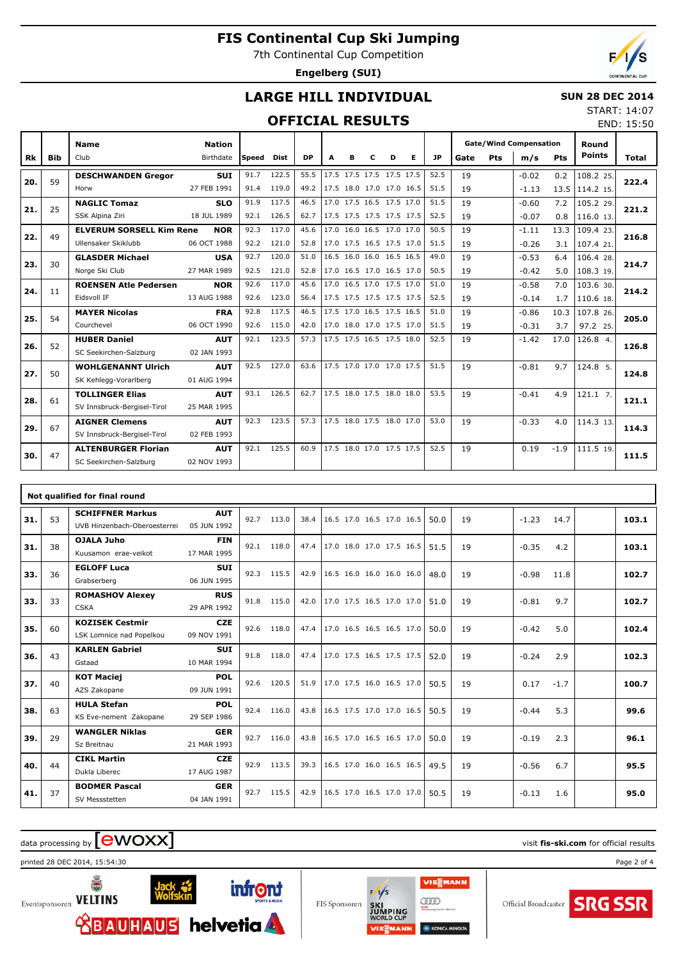7th Continental Cup Competition

**Engelberg (SUI)**

END: 15:50

## **LARGE HILL INDIVIDUAL**

#### **SUN 28 DEC 2014** START: 14:07

#### **OFFICIAL RESULTS**

|     |            | <b>Nation</b><br><b>Name</b>    |             |       |       |           |   |                          |   |   | <b>Gate/Wind Compensation</b> |           |      |     | Round   |        |               |              |
|-----|------------|---------------------------------|-------------|-------|-------|-----------|---|--------------------------|---|---|-------------------------------|-----------|------|-----|---------|--------|---------------|--------------|
| Rk  | <b>Bib</b> | Club                            | Birthdate   | Speed | Dist  | <b>DP</b> | A | в                        | c | D | Е                             | <b>JP</b> | Gate | Pts | m/s     | Pts    | <b>Points</b> | <b>Total</b> |
|     | 59         | <b>DESCHWANDEN Gregor</b>       | <b>SUI</b>  | 91.7  | 122.5 | 55.5      |   |                          |   |   | 17.5 17.5 17.5 17.5 17.5      | 52.5      | 19   |     | $-0.02$ | 0.2    | 108.2 25.     | 222.4        |
| 20. |            | Horw                            | 27 FEB 1991 | 91.4  | 119.0 | 49.2      |   | 17.5 18.0 17.0 17.0 16.5 |   |   |                               | 51.5      | 19   |     | $-1.13$ | 13.5   | 114.2 15.     |              |
| 21. | 25         | <b>NAGLIC Tomaz</b>             | <b>SLO</b>  | 91.9  | 117.5 | 46.5      |   | 17.0 17.5 16.5 17.5 17.0 |   |   |                               | 51.5      | 19   |     | $-0.60$ | 7.2    | 105.2 29.     | 221.2        |
|     |            | SSK Alpina Ziri                 | 18 JUL 1989 | 92.1  | 126.5 | 62.7      |   | 17.5 17.5 17.5 17.5 17.5 |   |   |                               | 52.5      | 19   |     | $-0.07$ | 0.8    | 116.0 13.     |              |
| 22. | 49         | <b>ELVERUM SORSELL Kim Rene</b> | <b>NOR</b>  | 92.3  | 117.0 | 45.6      |   | 17.0 16.0 16.5 17.0 17.0 |   |   |                               | 50.5      | 19   |     | $-1.11$ | 13.3   | 109.4 23.     | 216.8        |
|     |            | Ullensaker Skiklubb             | 06 OCT 1988 | 92.2  | 121.0 | 52.8      |   |                          |   |   | 17.0 17.5 16.5 17.5 17.0      | 51.5      | 19   |     | $-0.26$ | 3.1    | 107.4 21.     |              |
| 23. | 30         | <b>GLASDER Michael</b>          | <b>USA</b>  | 92.7  | 120.0 | 51.0      |   | 16.5 16.0 16.0 16.5 16.5 |   |   |                               | 49.0      | 19   |     | $-0.53$ | 6.4    | 106.4 28.     | 214.7        |
|     |            | Norge Ski Club                  | 27 MAR 1989 | 92.5  | 121.0 | 52.8      |   | 17.0 16.5 17.0 16.5 17.0 |   |   |                               | 50.5      | 19   |     | $-0.42$ | 5.0    | 108.3 19.     |              |
| 24. | 11         | <b>ROENSEN Atle Pedersen</b>    | <b>NOR</b>  | 92.6  | 117.0 | 45.6      |   | 17.0 16.5 17.0 17.5 17.0 |   |   |                               | 51.0      | 19   |     | $-0.58$ | 7.0    | 103.6 30.     | 214.2        |
|     |            | Eidsvoll IF                     | 13 AUG 1988 | 92.6  | 123.0 | 56.4      |   |                          |   |   | 17.5 17.5 17.5 17.5 17.5      | 52.5      | 19   |     | $-0.14$ | 1.7    | 110.6 18.     |              |
| 25. | 54         | <b>MAYER Nicolas</b>            | <b>FRA</b>  | 92.8  | 117.5 | 46.5      |   | 17.5 17.0 16.5 17.5 16.5 |   |   |                               | 51.0      | 19   |     | $-0.86$ | 10.3   | 107.8 26.     | 205.0        |
|     |            | Courchevel                      | 06 OCT 1990 | 92.6  | 115.0 | 42.0      |   | 17.0 18.0 17.0 17.5 17.0 |   |   |                               | 51.5      | 19   |     | $-0.31$ | 3.7    | 97.2 25.      |              |
| 26. | 52         | <b>HUBER Daniel</b>             | <b>AUT</b>  | 92.1  | 123.5 | 57.3      |   | 17.5 17.5 16.5 17.5 18.0 |   |   |                               | 52.5      | 19   |     | $-1.42$ | 17.0   | 126.8 4.      | 126.8        |
|     |            | SC Seekirchen-Salzburg          | 02 JAN 1993 |       |       |           |   |                          |   |   |                               |           |      |     |         |        |               |              |
| 27. | 50         | <b>WOHLGENANNT Ulrich</b>       | <b>AUT</b>  | 92.5  | 127.0 | 63.6      |   | 17.5 17.0 17.0 17.0 17.5 |   |   |                               | 51.5      | 19   |     | $-0.81$ | 9.7    | 124.8 5.      | 124.8        |
|     |            | SK Kehlegg-Vorarlberg           | 01 AUG 1994 |       |       |           |   |                          |   |   |                               |           |      |     |         |        |               |              |
| 28. | 61         | <b>TOLLINGER Elias</b>          | <b>AUT</b>  | 93.1  | 126.5 | 62.7      |   | 17.5 18.0 17.5 18.0 18.0 |   |   |                               | 53.5      | 19   |     | $-0.41$ | 4.9    | $121.1$ 7.    | 121.1        |
|     |            | SV Innsbruck-Bergisel-Tirol     | 25 MAR 1995 |       |       |           |   |                          |   |   |                               |           |      |     |         |        |               |              |
| 29. | 67         | <b>AIGNER Clemens</b>           | <b>AUT</b>  | 92.3  | 123.5 | 57.3      |   | 17.5 18.0 17.5 18.0 17.0 |   |   |                               | 53.0      | 19   |     | $-0.33$ | 4.0    | 114.3 13.     | 114.3        |
|     |            | SV Innsbruck-Bergisel-Tirol     | 02 FEB 1993 |       |       |           |   |                          |   |   |                               |           |      |     |         |        |               |              |
| 30. | 47         | <b>ALTENBURGER Florian</b>      | <b>AUT</b>  | 92.1  | 125.5 | 60.9      |   | 17.5 18.0 17.0 17.5 17.5 |   |   |                               | 52.5      | 19   |     | 0.19    | $-1.9$ | 111.5 19.     | 111.5        |
|     |            | SC Seekirchen-Salzburg          | 02 NOV 1993 |       |       |           |   |                          |   |   |                               |           |      |     |         |        |               |              |

|     | Not qualified for final round |                                                         |                           |      |       |      |                          |  |  |  |      |    |         |        |       |
|-----|-------------------------------|---------------------------------------------------------|---------------------------|------|-------|------|--------------------------|--|--|--|------|----|---------|--------|-------|
| 31. | 53                            | <b>SCHIFFNER Markus</b><br>UVB Hinzenbach-Oberoesterrei | <b>AUT</b><br>05 JUN 1992 | 92.7 | 113.0 | 38.4 | 16.5 17.0 16.5 17.0 16.5 |  |  |  | 50.0 | 19 | $-1.23$ | 14.7   | 103.1 |
| 31. | 38                            | OJALA Juho<br>Kuusamon erae-veikot                      | <b>FIN</b><br>17 MAR 1995 | 92.1 | 118.0 | 47.4 | 17.0 18.0 17.0 17.5 16.5 |  |  |  | 51.5 | 19 | $-0.35$ | 4.2    | 103.1 |
| 33. | 36                            | <b>EGLOFF Luca</b><br>Grabserberg                       | <b>SUI</b><br>06 JUN 1995 | 92.3 | 115.5 | 42.9 | 16.5 16.0 16.0 16.0 16.0 |  |  |  | 48.0 | 19 | $-0.98$ | 11.8   | 102.7 |
| 33. | 33                            | <b>ROMASHOV Alexey</b><br><b>CSKA</b>                   | <b>RUS</b><br>29 APR 1992 | 91.8 | 115.0 | 42.0 | 17.0 17.5 16.5 17.0 17.0 |  |  |  | 51.0 | 19 | $-0.81$ | 9.7    | 102.7 |
| 35. | 60                            | <b>KOZISEK Cestmir</b><br>LSK Lomnice nad Popelkou      | <b>CZE</b><br>09 NOV 1991 | 92.6 | 118.0 | 47.4 | 17.0 16.5 16.5 16.5 17.0 |  |  |  | 50.0 | 19 | $-0.42$ | 5.0    | 102.4 |
| 36. | 43                            | <b>KARLEN Gabriel</b><br>Gstaad                         | <b>SUI</b><br>10 MAR 1994 | 91.8 | 118.0 | 47.4 | 17.0 17.5 16.5 17.5 17.5 |  |  |  | 52.0 | 19 | $-0.24$ | 2.9    | 102.3 |
| 37. | 40                            | <b>KOT Maciej</b><br>AZS Zakopane                       | <b>POL</b><br>09 JUN 1991 | 92.6 | 120.5 | 51.9 | 17.0 17.5 16.0 16.5 17.0 |  |  |  | 50.5 | 19 | 0.17    | $-1.7$ | 100.7 |
| 38. | 63                            | <b>HULA Stefan</b><br>KS Eve-nement Zakopane            | <b>POL</b><br>29 SEP 1986 | 92.4 | 116.0 | 43.8 | 16.5 17.5 17.0 17.0 16.5 |  |  |  | 50.5 | 19 | $-0.44$ | 5.3    | 99.6  |
| 39. | 29                            | <b>WANGLER Niklas</b><br>Sz Breitnau                    | <b>GER</b><br>21 MAR 1993 | 92.7 | 116.0 | 43.8 | 16.5 17.0 16.5 16.5 17.0 |  |  |  | 50.0 | 19 | $-0.19$ | 2.3    | 96.1  |
| 40. | 44                            | <b>CIKL Martin</b><br>Dukla Liberec                     | <b>CZE</b><br>17 AUG 1987 | 92.9 | 113.5 | 39.3 | 16.5 17.0 16.0 16.5 16.5 |  |  |  | 49.5 | 19 | $-0.56$ | 6.7    | 95.5  |
| 41. | 37                            | <b>BODMER Pascal</b><br>SV Messstetten                  | <b>GER</b><br>04 JAN 1991 | 92.7 | 115.5 | 42.9 | 16.5 17.0 16.5 17.0 17.0 |  |  |  | 50.5 | 19 | $-0.13$ | 1.6    | 95.0  |

VIESMANN

gm

**KONICA M** 

 $F/1/s$ 

FIS Sponsoren

## data processing by **CWOXX** and  $\overline{C}$  and  $\overline{C}$  and  $\overline{C}$  and  $\overline{C}$  and  $\overline{C}$  and  $\overline{C}$  and  $\overline{C}$  and  $\overline{C}$  and  $\overline{C}$  and  $\overline{C}$  and  $\overline{C}$  and  $\overline{C}$  and  $\overline{C}$  and  $\overline{C}$  and  $\overline{C}$

printed 28 DEC 2014, 15:54:30 Page 2 of 4



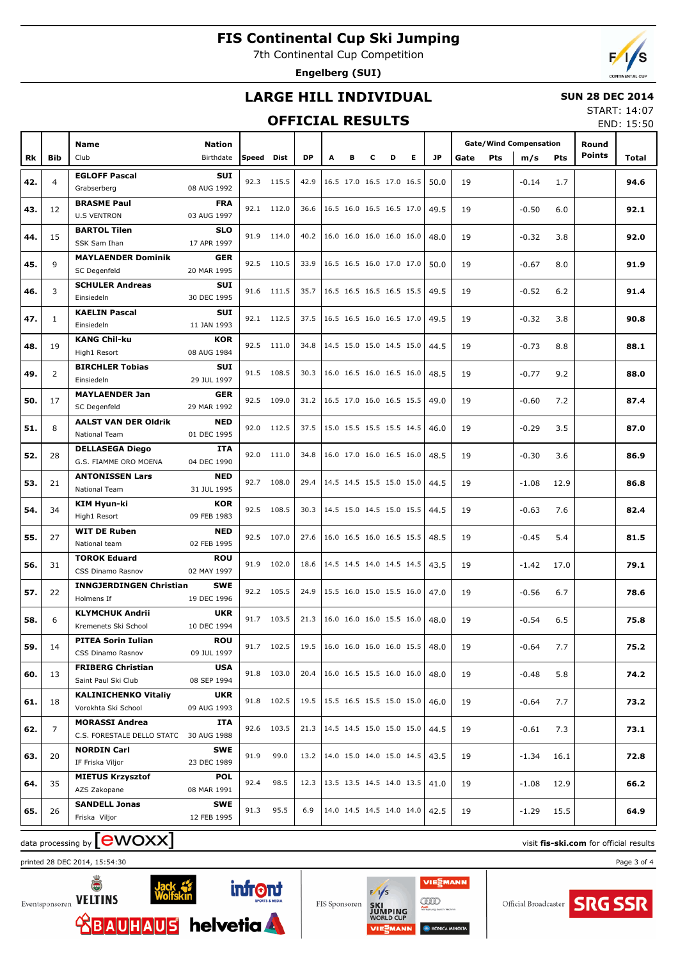7th Continental Cup Competition

**Engelberg (SUI)**



### **LARGE HILL INDIVIDUAL**

#### **SUN 28 DEC 2014**

#### **OFFICIAL RESULTS**

START: 14:07 END: 15:50

|     |                |                                |               |       |            |           |   |                          |   |   |   |           |      |            |                               |            |               | LIVU. 13.30 |
|-----|----------------|--------------------------------|---------------|-------|------------|-----------|---|--------------------------|---|---|---|-----------|------|------------|-------------------------------|------------|---------------|-------------|
|     |                | Name                           | <b>Nation</b> |       |            |           |   |                          |   |   |   |           |      |            | <b>Gate/Wind Compensation</b> |            | Round         |             |
|     |                | Club                           | Birthdate     | Speed | Dist       | <b>DP</b> | A | в                        | c | D | Е | <b>JP</b> |      |            |                               |            | <b>Points</b> |             |
| Rk  | <b>Bib</b>     |                                |               |       |            |           |   |                          |   |   |   |           | Gate | <b>Pts</b> | m/s                           | <b>Pts</b> |               | Total       |
| 42. | $\overline{4}$ | <b>EGLOFF Pascal</b>           | <b>SUI</b>    |       | 92.3 115.5 | 42.9      |   | 16.5 17.0 16.5 17.0 16.5 |   |   |   | 50.0      | 19   |            | $-0.14$                       | 1.7        |               | 94.6        |
|     |                | Grabserberg                    | 08 AUG 1992   |       |            |           |   |                          |   |   |   |           |      |            |                               |            |               |             |
|     |                | <b>BRASME Paul</b>             | <b>FRA</b>    |       |            |           |   | 16.5 16.0 16.5 16.5 17.0 |   |   |   |           |      |            |                               |            |               |             |
| 43. | 12             | <b>U.S VENTRON</b>             | 03 AUG 1997   |       | 92.1 112.0 | 36.6      |   |                          |   |   |   | 49.5      | 19   |            | $-0.50$                       | 6.0        |               | 92.1        |
|     |                | <b>BARTOL Tilen</b>            | <b>SLO</b>    |       |            |           |   |                          |   |   |   |           |      |            |                               |            |               |             |
| 44. | 15             | SSK Sam Ihan                   | 17 APR 1997   |       | 91.9 114.0 | 40.2      |   | 16.0 16.0 16.0 16.0 16.0 |   |   |   | 48.0      | 19   |            | $-0.32$                       | 3.8        |               | 92.0        |
|     |                | <b>MAYLAENDER Dominik</b>      | <b>GER</b>    |       |            |           |   |                          |   |   |   |           |      |            |                               |            |               |             |
| 45. | 9              | SC Degenfeld                   | 20 MAR 1995   |       | 92.5 110.5 | 33.9      |   | 16.5 16.5 16.0 17.0 17.0 |   |   |   | 50.0      | 19   |            | $-0.67$                       | 8.0        |               | 91.9        |
|     |                | <b>SCHULER Andreas</b>         | <b>SUI</b>    |       |            |           |   |                          |   |   |   |           |      |            |                               |            |               |             |
| 46. | 3              | Einsiedeln                     | 30 DEC 1995   |       | 91.6 111.5 | 35.7      |   | 16.5 16.5 16.5 16.5 15.5 |   |   |   | 49.5      | 19   |            | $-0.52$                       | 6.2        |               | 91.4        |
|     |                | <b>KAELIN Pascal</b>           | <b>SUI</b>    |       |            |           |   |                          |   |   |   |           |      |            |                               |            |               |             |
| 47. | $\mathbf{1}$   | Einsiedeln                     | 11 JAN 1993   |       | 92.1 112.5 | 37.5      |   | 16.5 16.5 16.0 16.5 17.0 |   |   |   | 49.5      | 19   |            | $-0.32$                       | 3.8        |               | 90.8        |
|     |                | <b>KANG Chil-ku</b>            | <b>KOR</b>    |       |            |           |   |                          |   |   |   |           |      |            |                               |            |               |             |
| 48. | 19             | High1 Resort                   | 08 AUG 1984   |       | 92.5 111.0 | 34.8      |   | 14.5 15.0 15.0 14.5 15.0 |   |   |   | 44.5      | 19   |            | $-0.73$                       | 8.8        |               | 88.1        |
|     |                | <b>BIRCHLER Tobias</b>         | <b>SUI</b>    |       |            |           |   |                          |   |   |   |           |      |            |                               |            |               |             |
| 49. | $\overline{2}$ | Einsiedeln                     | 29 JUL 1997   |       | 91.5 108.5 | 30.3      |   | 16.0 16.5 16.0 16.5 16.0 |   |   |   | 48.5      | 19   |            | $-0.77$                       | 9.2        |               | 88.0        |
|     |                | <b>MAYLAENDER Jan</b>          | <b>GER</b>    |       |            |           |   |                          |   |   |   |           |      |            |                               |            |               |             |
| 50. | 17             | SC Degenfeld                   | 29 MAR 1992   |       | 92.5 109.0 | 31.2      |   | 16.5 17.0 16.0 16.5 15.5 |   |   |   | 49.0      | 19   |            | $-0.60$                       | 7.2        |               | 87.4        |
|     |                | <b>AALST VAN DER Oldrik</b>    | <b>NED</b>    |       |            |           |   |                          |   |   |   |           |      |            |                               |            |               |             |
| 51. | 8              | <b>National Team</b>           | 01 DEC 1995   |       | 92.0 112.5 | 37.5      |   | 15.0 15.5 15.5 15.5 14.5 |   |   |   | 46.0      | 19   |            | $-0.29$                       | 3.5        |               | 87.0        |
|     |                | <b>DELLASEGA Diego</b>         | ITA           |       |            |           |   |                          |   |   |   |           |      |            |                               |            |               |             |
| 52. | 28             | G.S. FIAMME ORO MOENA          | 04 DEC 1990   |       | 92.0 111.0 | 34.8      |   | 16.0 17.0 16.0 16.5 16.0 |   |   |   | 48.5      | 19   |            | $-0.30$                       | 3.6        |               | 86.9        |
|     |                |                                |               |       |            |           |   |                          |   |   |   |           |      |            |                               |            |               |             |
| 53. | 21             | <b>ANTONISSEN Lars</b>         | <b>NED</b>    |       | 92.7 108.0 | 29.4      |   | 14.5 14.5 15.5 15.0 15.0 |   |   |   | 44.5      | 19   |            | $-1.08$                       | 12.9       |               | 86.8        |
|     |                | National Team                  | 31 JUL 1995   |       |            |           |   |                          |   |   |   |           |      |            |                               |            |               |             |
| 54. | 34             | KIM Hyun-ki                    | <b>KOR</b>    |       | 92.5 108.5 | 30.3      |   | 14.5 15.0 14.5 15.0 15.5 |   |   |   | 44.5      | 19   |            | $-0.63$                       | 7.6        |               | 82.4        |
|     |                | High1 Resort                   | 09 FEB 1983   |       |            |           |   |                          |   |   |   |           |      |            |                               |            |               |             |
| 55. | 27             | <b>WIT DE Ruben</b>            | <b>NED</b>    |       | 92.5 107.0 | 27.6      |   | 16.0 16.5 16.0 16.5 15.5 |   |   |   | 48.5      | 19   |            | $-0.45$                       | 5.4        |               | 81.5        |
|     |                | National team                  | 02 FEB 1995   |       |            |           |   |                          |   |   |   |           |      |            |                               |            |               |             |
| 56. | 31             | <b>TOROK Eduard</b>            | <b>ROU</b>    |       | 91.9 102.0 | 18.6      |   | 14.5 14.5 14.0 14.5 14.5 |   |   |   | 43.5      | 19   |            | $-1.42$                       | 17.0       |               | 79.1        |
|     |                | CSS Dinamo Rasnov              | 02 MAY 1997   |       |            |           |   |                          |   |   |   |           |      |            |                               |            |               |             |
| 57. | 22             | <b>INNGJERDINGEN Christian</b> | <b>SWE</b>    |       | 92.2 105.5 | 24.9      |   | 15.5 16.0 15.0 15.5 16.0 |   |   |   | 47.0      | 19   |            | $-0.56$                       | 6.7        |               | 78.6        |
|     |                | Holmens If                     | 19 DEC 1996   |       |            |           |   |                          |   |   |   |           |      |            |                               |            |               |             |
| 58. | 6              | <b>KLYMCHUK Andrii</b>         | <b>UKR</b>    |       | 91.7 103.5 | 21.3      |   | 16.0 16.0 16.0 15.5 16.0 |   |   |   | 48.0      | 19   |            | $-0.54$                       | 6.5        |               | 75.8        |
|     |                | Kremenets Ski School           | 10 DEC 1994   |       |            |           |   |                          |   |   |   |           |      |            |                               |            |               |             |
| 59. | 14             | <b>PITEA Sorin Iulian</b>      | <b>ROU</b>    |       | 91.7 102.5 | 19.5      |   | 16.0 16.0 16.0 16.0 15.5 |   |   |   | 48.0      | 19   |            | $-0.64$                       | 7.7        |               | 75.2        |
|     |                | CSS Dinamo Rasnov              | 09 JUL 1997   |       |            |           |   |                          |   |   |   |           |      |            |                               |            |               |             |
| 60. | 13             | <b>FRIBERG Christian</b>       | <b>USA</b>    |       | 91.8 103.0 | 20.4      |   | 16.0 16.5 15.5 16.0 16.0 |   |   |   | 48.0      | 19   |            | $-0.48$                       | 5.8        |               | 74.2        |
|     |                | Saint Paul Ski Club            | 08 SEP 1994   |       |            |           |   |                          |   |   |   |           |      |            |                               |            |               |             |
| 61. | 18             | <b>KALINICHENKO Vitaliy</b>    | <b>UKR</b>    |       | 91.8 102.5 | 19.5      |   | 15.5 16.5 15.5 15.0 15.0 |   |   |   | 46.0      | 19   |            | $-0.64$                       | 7.7        |               | 73.2        |
|     |                | Vorokhta Ski School            | 09 AUG 1993   |       |            |           |   |                          |   |   |   |           |      |            |                               |            |               |             |
| 62. | $\overline{7}$ | <b>MORASSI Andrea</b>          | ITA           |       | 92.6 103.5 | 21.3      |   | 14.5 14.5 15.0 15.0 15.0 |   |   |   | 44.5      | 19   |            | $-0.61$                       | 7.3        |               | 73.1        |
|     |                | C.S. FORESTALE DELLO STATO     | 30 AUG 1988   |       |            |           |   |                          |   |   |   |           |      |            |                               |            |               |             |
| 63. | 20             | <b>NORDIN Carl</b>             | <b>SWE</b>    | 91.9  | 99.0       | 13.2      |   | 14.0 15.0 14.0 15.0 14.5 |   |   |   | 43.5      | 19   |            | $-1.34$                       | 16.1       |               | 72.8        |
|     |                | IF Friska Viljor               | 23 DEC 1989   |       |            |           |   |                          |   |   |   |           |      |            |                               |            |               |             |
| 64. | 35             | <b>MIETUS Krzysztof</b>        | <b>POL</b>    | 92.4  | 98.5       | 12.3      |   | 13.5 13.5 14.5 14.0 13.5 |   |   |   | 41.0      | 19   |            | $-1.08$                       | 12.9       |               | 66.2        |
|     |                | AZS Zakopane                   | 08 MAR 1991   |       |            |           |   |                          |   |   |   |           |      |            |                               |            |               |             |
|     | 26             | <b>SANDELL Jonas</b>           | <b>SWE</b>    | 91.3  | 95.5       | 6.9       |   | 14.0 14.5 14.5 14.0 14.0 |   |   |   | 42.5      | 19   |            |                               | 15.5       |               | 64.9        |
| 65. |                | Friska Viljor                  | 12 FEB 1995   |       |            |           |   |                          |   |   |   |           |      |            | $-1.29$                       |            |               |             |
|     |                |                                |               |       |            |           |   |                          |   |   |   |           |      |            |                               |            |               |             |

# data processing by **CWOXX** and  $\blacksquare$  and  $\blacksquare$  and  $\blacksquare$  and  $\blacksquare$  and  $\blacksquare$  and  $\blacksquare$  and  $\blacksquare$  and  $\blacksquare$  and  $\blacksquare$  and  $\blacksquare$  and  $\blacksquare$  and  $\blacksquare$  and  $\blacksquare$  and  $\blacksquare$  and  $\blacksquare$  and  $\blacksquare$  and  $\blacksquare$  and  $\blacks$

printed 28 DEC 2014, 15:54:30 Page 3 of 4





**infront** 

VIESMANN  $QID$ 

**KONICA M**